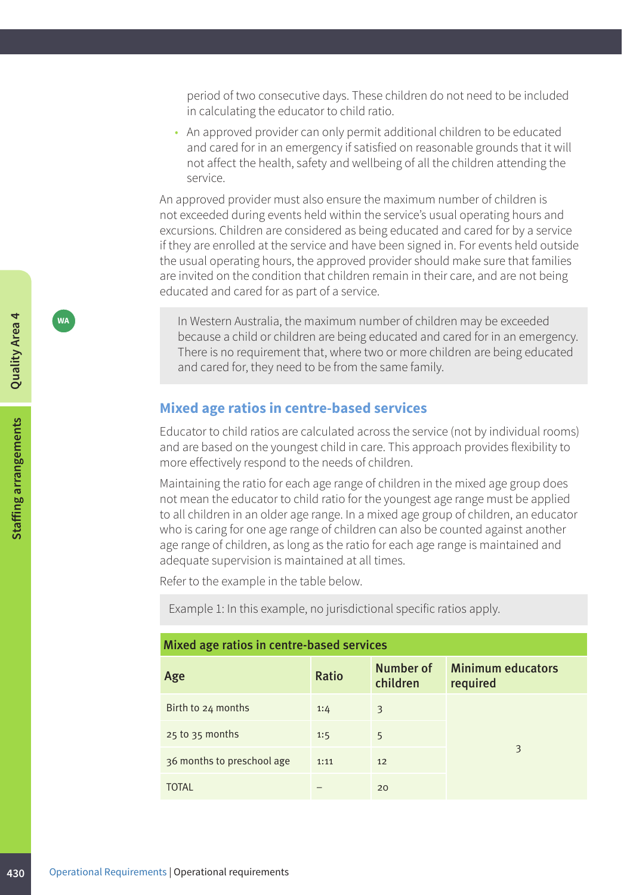period of two consecutive days. These children do not need to be included in calculating the educator to child ratio.

• An approved provider can only permit additional children to be educated and cared for in an emergency if satisfied on reasonable grounds that it will not affect the health, safety and wellbeing of all the children attending the service.

An approved provider must also ensure the maximum number of children is not exceeded during events held within the service's usual operating hours and excursions. Children are considered as being educated and cared for by a service if they are enrolled at the service and have been signed in. For events held outside the usual operating hours, the approved provider should make sure that families are invited on the condition that children remain in their care, and are not being educated and cared for as part of a service.

**WA** In Western Australia, the maximum number of children may be exceeded because a child or children are being educated and cared for in an emergency. There is no requirement that, where two or more children are being educated and cared for, they need to be from the same family.

## **Mixed age ratios in centre-based services**

Educator to child ratios are calculated across the service (not by individual rooms) and are based on the youngest child in care. This approach provides flexibility to more effectively respond to the needs of children.

Maintaining the ratio for each age range of children in the mixed age group does not mean the educator to child ratio for the youngest age range must be applied to all children in an older age range. In a mixed age group of children, an educator who is caring for one age range of children can also be counted against another age range of children, as long as the ratio for each age range is maintained and adequate supervision is maintained at all times.

Refer to the example in the table below.

Example 1: In this example, no jurisdictional specific ratios apply.

| Mixed age ratios in centre-based services |              |                              |                                      |  |  |
|-------------------------------------------|--------------|------------------------------|--------------------------------------|--|--|
| Age                                       | <b>Ratio</b> | <b>Number of</b><br>children | <b>Minimum educators</b><br>required |  |  |
| Birth to 24 months                        | 1:4          | 3                            |                                      |  |  |
| $25$ to $35$ months                       | 1:5          | 5                            |                                      |  |  |
| 36 months to preschool age                | 1:11         | 12                           | 3                                    |  |  |
| <b>TOTAL</b>                              |              | 20                           |                                      |  |  |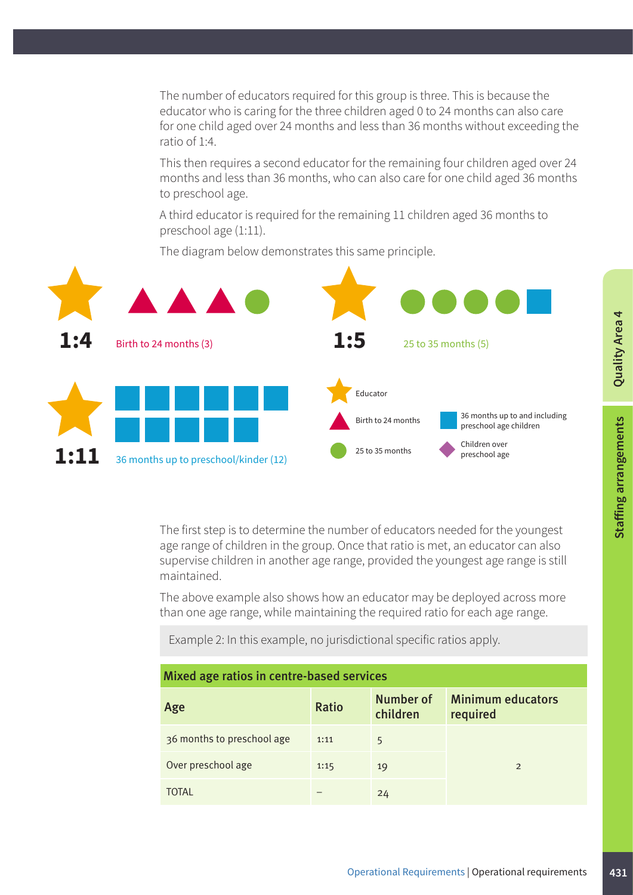The number of educators required for this group is three. This is because the educator who is caring for the three children aged 0 to 24 months can also care for one child aged over 24 months and less than 36 months without exceeding the ratio of 1:4.

This then requires a second educator for the remaining four children aged over 24 months and less than 36 months, who can also care for one child aged 36 months to preschool age.

A third educator is required for the remaining 11 children aged 36 months to preschool age (1:11).

The diagram below demonstrates this same principle.



The first step is to determine the number of educators needed for the youngest age range of children in the group. Once that ratio is met, an educator can also supervise children in another age range, provided the youngest age range is still maintained.

The above example also shows how an educator may be deployed across more than one age range, while maintaining the required ratio for each age range.

Example 2: In this example, no jurisdictional specific ratios apply.

| Mixed age ratios in centre-based services |              |                       |                                      |  |  |
|-------------------------------------------|--------------|-----------------------|--------------------------------------|--|--|
| Age                                       | <b>Ratio</b> | Number of<br>children | <b>Minimum educators</b><br>required |  |  |
| 36 months to preschool age                | 1:11         | 5                     |                                      |  |  |
| Over preschool age                        | 1:15         | 19                    | $\mathfrak{D}$                       |  |  |
| ΤΟΤΑΙ                                     |              | 24                    |                                      |  |  |